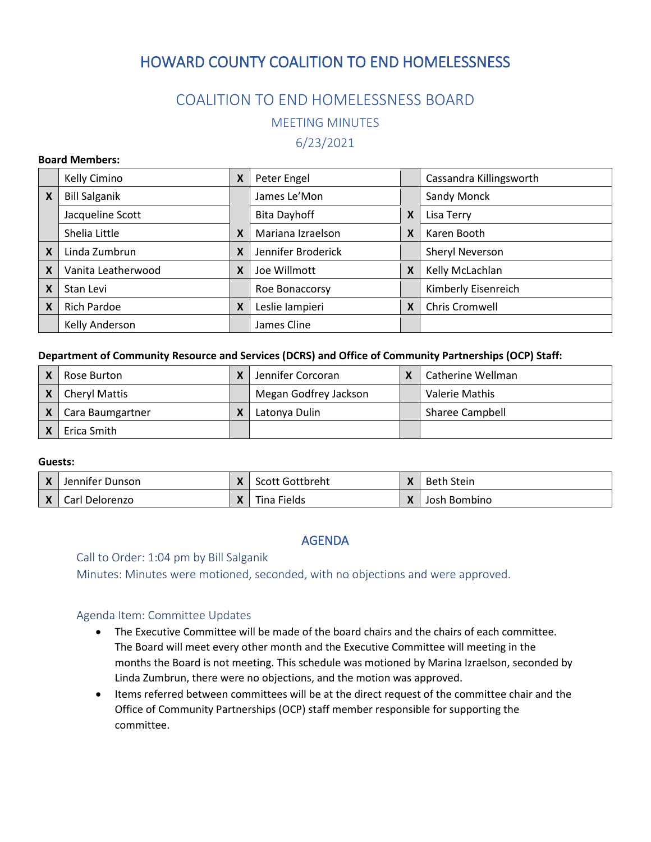# HOWARD COUNTY COALITION TO END HOMELESSNESS

## COALITION TO END HOMELESSNESS BOARD

MEETING MINUTES

6/23/2021

#### **Board Members:**

|                           | Kelly Cimino         | X | Peter Engel         |   | Cassandra Killingsworth |
|---------------------------|----------------------|---|---------------------|---|-------------------------|
| X                         | <b>Bill Salganik</b> |   | James Le'Mon        |   | Sandy Monck             |
|                           | Jacqueline Scott     |   | <b>Bita Dayhoff</b> | X | Lisa Terry              |
|                           | Shelia Little        | X | Mariana Izraelson   | X | Karen Booth             |
| $\boldsymbol{\mathsf{x}}$ | Linda Zumbrun        | X | Jennifer Broderick  |   | Sheryl Neverson         |
| $\boldsymbol{\mathsf{x}}$ | Vanita Leatherwood   | X | Joe Willmott        | X | Kelly McLachlan         |
| X                         | Stan Levi            |   | Roe Bonaccorsy      |   | Kimberly Eisenreich     |
| X                         | <b>Rich Pardoe</b>   | X | Leslie lampieri     | X | Chris Cromwell          |
|                           | Kelly Anderson       |   | James Cline         |   |                         |

#### **Department of Community Resource and Services (DCRS) and Office of Community Partnerships (OCP) Staff:**

| Rose Burton          | Jennifer Corcoran     | Catherine Wellman |
|----------------------|-----------------------|-------------------|
| <b>Cheryl Mattis</b> | Megan Godfrey Jackson | Valerie Mathis    |
| Cara Baumgartner     | Latonya Dulin         | Sharee Campbell   |
| Erica Smith          |                       |                   |

#### **Guests:**

| X            | Jennifer Dunson | $\mathbf{v}$ | Scott Gottbreht | X | Beth Stein   |
|--------------|-----------------|--------------|-----------------|---|--------------|
| $\mathsf{x}$ | Carl Delorenzo  |              | Tina Fields     |   | Josh Bombino |

#### AGENDA

#### Call to Order: 1:04 pm by Bill Salganik

Minutes: Minutes were motioned, seconded, with no objections and were approved.

#### Agenda Item: Committee Updates

- The Executive Committee will be made of the board chairs and the chairs of each committee. The Board will meet every other month and the Executive Committee will meeting in the months the Board is not meeting. This schedule was motioned by Marina Izraelson, seconded by Linda Zumbrun, there were no objections, and the motion was approved.
- Items referred between committees will be at the direct request of the committee chair and the Office of Community Partnerships (OCP) staff member responsible for supporting the committee.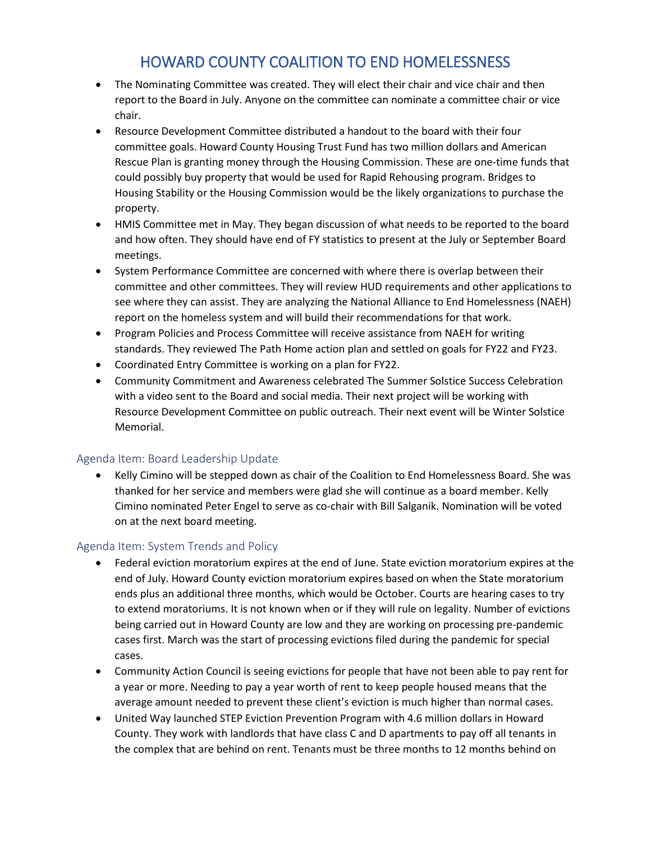# HOWARD COUNTY COALITION TO END HOMELESSNESS

- The Nominating Committee was created. They will elect their chair and vice chair and then report to the Board in July. Anyone on the committee can nominate a committee chair or vice chair.
- Resource Development Committee distributed a handout to the board with their four committee goals. Howard County Housing Trust Fund has two million dollars and American Rescue Plan is granting money through the Housing Commission. These are one-time funds that could possibly buy property that would be used for Rapid Rehousing program. Bridges to Housing Stability or the Housing Commission would be the likely organizations to purchase the property.
- HMIS Committee met in May. They began discussion of what needs to be reported to the board and how often. They should have end of FY statistics to present at the July or September Board meetings.
- System Performance Committee are concerned with where there is overlap between their committee and other committees. They will review HUD requirements and other applications to see where they can assist. They are analyzing the National Alliance to End Homelessness (NAEH) report on the homeless system and will build their recommendations for that work.
- Program Policies and Process Committee will receive assistance from NAEH for writing standards. They reviewed The Path Home action plan and settled on goals for FY22 and FY23.
- Coordinated Entry Committee is working on a plan for FY22.
- Community Commitment and Awareness celebrated The Summer Solstice Success Celebration with a video sent to the Board and social media. Their next project will be working with Resource Development Committee on public outreach. Their next event will be Winter Solstice Memorial.

### Agenda Item: Board Leadership Update

• Kelly Cimino will be stepped down as chair of the Coalition to End Homelessness Board. She was thanked for her service and members were glad she will continue as a board member. Kelly Cimino nominated Peter Engel to serve as co-chair with Bill Salganik. Nomination will be voted on at the next board meeting.

### Agenda Item: System Trends and Policy

- Federal eviction moratorium expires at the end of June. State eviction moratorium expires at the end of July. Howard County eviction moratorium expires based on when the State moratorium ends plus an additional three months, which would be October. Courts are hearing cases to try to extend moratoriums. It is not known when or if they will rule on legality. Number of evictions being carried out in Howard County are low and they are working on processing pre-pandemic cases first. March was the start of processing evictions filed during the pandemic for special cases.
- Community Action Council is seeing evictions for people that have not been able to pay rent for a year or more. Needing to pay a year worth of rent to keep people housed means that the average amount needed to prevent these client's eviction is much higher than normal cases.
- United Way launched STEP Eviction Prevention Program with 4.6 million dollars in Howard County. They work with landlords that have class C and D apartments to pay off all tenants in the complex that are behind on rent. Tenants must be three months to 12 months behind on